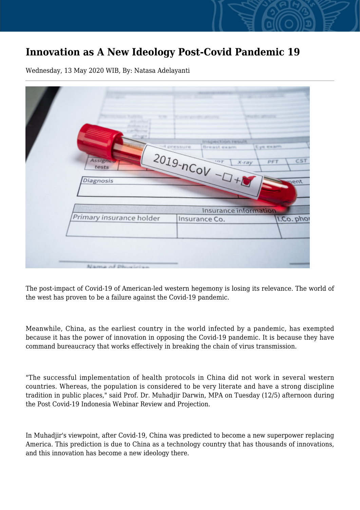## **Innovation as A New Ideology Post-Covid Pandemic 19**

Wednesday, 13 May 2020 WIB, By: Natasa Adelayanti

| <b>TECHNOLOGIES SELVICE</b><br>Window Charles<br><b>Iringies</b> Chipes Particula<br>of pressure<br>Eye exam<br>Breast exam<br>$2019 - nCoV - D + D$<br>Assigned<br>CST<br>PFT<br>X-ray<br>tests<br>Diagnosis<br>pent |               |            |
|-----------------------------------------------------------------------------------------------------------------------------------------------------------------------------------------------------------------------|---------------|------------|
| Insurance information.                                                                                                                                                                                                |               |            |
| Primary insurance holder                                                                                                                                                                                              | Insurance Co. | I.Co. phor |
| Nama of Dhusisian                                                                                                                                                                                                     |               |            |

The post-impact of Covid-19 of American-led western hegemony is losing its relevance. The world of the west has proven to be a failure against the Covid-19 pandemic.

Meanwhile, China, as the earliest country in the world infected by a pandemic, has exempted because it has the power of innovation in opposing the Covid-19 pandemic. It is because they have command bureaucracy that works effectively in breaking the chain of virus transmission.

"The successful implementation of health protocols in China did not work in several western countries. Whereas, the population is considered to be very literate and have a strong discipline tradition in public places," said Prof. Dr. Muhadjir Darwin, MPA on Tuesday (12/5) afternoon during the Post Covid-19 Indonesia Webinar Review and Projection.

In Muhadjir's viewpoint, after Covid-19, China was predicted to become a new superpower replacing America. This prediction is due to China as a technology country that has thousands of innovations, and this innovation has become a new ideology there.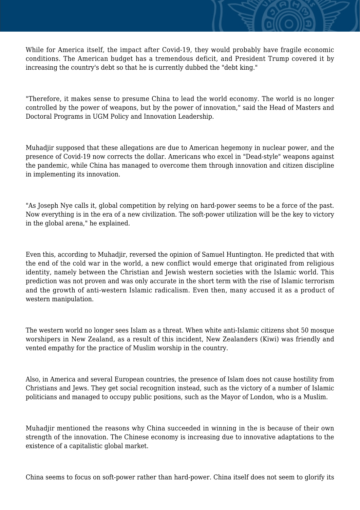While for America itself, the impact after Covid-19, they would probably have fragile economic conditions. The American budget has a tremendous deficit, and President Trump covered it by increasing the country's debt so that he is currently dubbed the "debt king."

"Therefore, it makes sense to presume China to lead the world economy. The world is no longer controlled by the power of weapons, but by the power of innovation," said the Head of Masters and Doctoral Programs in UGM Policy and Innovation Leadership.

Muhadjir supposed that these allegations are due to American hegemony in nuclear power, and the presence of Covid-19 now corrects the dollar. Americans who excel in "Dead-style" weapons against the pandemic, while China has managed to overcome them through innovation and citizen discipline in implementing its innovation.

"As Joseph Nye calls it, global competition by relying on hard-power seems to be a force of the past. Now everything is in the era of a new civilization. The soft-power utilization will be the key to victory in the global arena," he explained.

Even this, according to Muhadjir, reversed the opinion of Samuel Huntington. He predicted that with the end of the cold war in the world, a new conflict would emerge that originated from religious identity, namely between the Christian and Jewish western societies with the Islamic world. This prediction was not proven and was only accurate in the short term with the rise of Islamic terrorism and the growth of anti-western Islamic radicalism. Even then, many accused it as a product of western manipulation.

The western world no longer sees Islam as a threat. When white anti-Islamic citizens shot 50 mosque worshipers in New Zealand, as a result of this incident, New Zealanders (Kiwi) was friendly and vented empathy for the practice of Muslim worship in the country.

Also, in America and several European countries, the presence of Islam does not cause hostility from Christians and Jews. They get social recognition instead, such as the victory of a number of Islamic politicians and managed to occupy public positions, such as the Mayor of London, who is a Muslim.

Muhadjir mentioned the reasons why China succeeded in winning in the is because of their own strength of the innovation. The Chinese economy is increasing due to innovative adaptations to the existence of a capitalistic global market.

China seems to focus on soft-power rather than hard-power. China itself does not seem to glorify its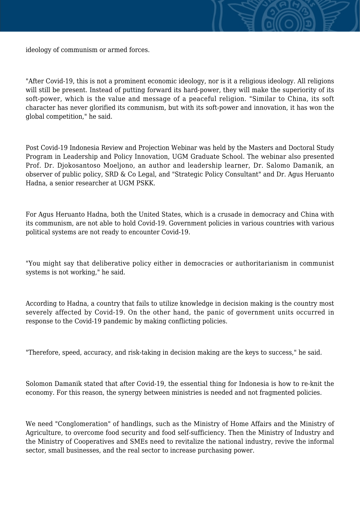

"After Covid-19, this is not a prominent economic ideology, nor is it a religious ideology. All religions will still be present. Instead of putting forward its hard-power, they will make the superiority of its soft-power, which is the value and message of a peaceful religion. "Similar to China, its soft character has never glorified its communism, but with its soft-power and innovation, it has won the global competition," he said.

Post Covid-19 Indonesia Review and Projection Webinar was held by the Masters and Doctoral Study Program in Leadership and Policy Innovation, UGM Graduate School. The webinar also presented Prof. Dr. Djokosantoso Moeljono, an author and leadership learner, Dr. Salomo Damanik, an observer of public policy, SRD & Co Legal, and "Strategic Policy Consultant" and Dr. Agus Heruanto Hadna, a senior researcher at UGM PSKK.

For Agus Heruanto Hadna, both the United States, which is a crusade in democracy and China with its communism, are not able to hold Covid-19. Government policies in various countries with various political systems are not ready to encounter Covid-19.

"You might say that deliberative policy either in democracies or authoritarianism in communist systems is not working," he said.

According to Hadna, a country that fails to utilize knowledge in decision making is the country most severely affected by Covid-19. On the other hand, the panic of government units occurred in response to the Covid-19 pandemic by making conflicting policies.

"Therefore, speed, accuracy, and risk-taking in decision making are the keys to success," he said.

Solomon Damanik stated that after Covid-19, the essential thing for Indonesia is how to re-knit the economy. For this reason, the synergy between ministries is needed and not fragmented policies.

We need "Conglomeration" of handlings, such as the Ministry of Home Affairs and the Ministry of Agriculture, to overcome food security and food self-sufficiency. Then the Ministry of Industry and the Ministry of Cooperatives and SMEs need to revitalize the national industry, revive the informal sector, small businesses, and the real sector to increase purchasing power.